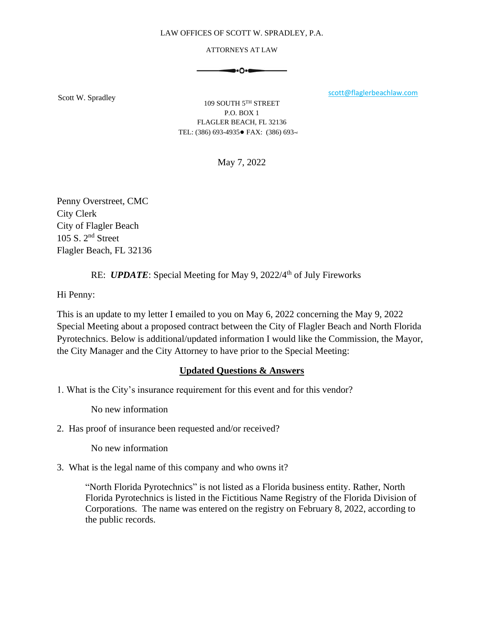#### LAW OFFICES OF SCOTT W. SPRADLEY, P.A.

#### ATTORNEYS AT LAW

$$
\bullet\hspace{-4pt} \bullet\hspace{-4pt} \bullet\hspace{-4pt} \bullet\hspace{-4pt} \bullet\hspace{-4pt} \bullet\hspace{-4pt} \bullet\hspace{-4pt} \bullet\hspace{-4pt} \bullet\hspace{-4pt} \bullet\hspace{-4pt} \bullet\hspace{-4pt} \bullet\hspace{-4pt} \bullet\hspace{-4pt} \bullet\hspace{-4pt} \bullet\hspace{-4pt} \bullet\hspace{-4pt} \bullet\hspace{-4pt} \bullet\hspace{-4pt} \bullet\hspace{-4pt} \bullet\hspace{-4pt} \bullet\hspace{-4pt} \bullet\hspace{-4pt} \bullet\hspace{-4pt} \bullet\hspace{-4pt} \bullet\hspace{-4pt} \bullet\hspace{-4pt} \bullet\hspace{-4pt} \bullet\hspace{-4pt} \bullet\hspace{-4pt} \bullet\hspace{-4pt} \bullet\hspace{-4pt} \bullet\hspace{-4pt} \bullet\hspace{-4pt} \bullet\hspace{-4pt} \bullet\hspace{-4pt} \bullet\hspace{-4pt} \bullet\hspace{-4pt} \bullet\hspace{-4pt} \bullet\hspace{-4pt} \bullet\hspace{-4pt} \bullet\hspace{-4pt} \bullet\hspace{-4pt} \bullet\hspace{-4pt} \bullet\hspace{-4pt} \bullet\hspace{-4pt} \bullet\hspace{-4pt} \bullet\hspace{-4pt} \bullet\hspace{-4pt} \bullet\hspace{-4pt} \bullet\hspace{-4pt} \bullet\hspace{-4pt} \bullet\hspace{-4pt} \bullet\hspace{-4pt} \bullet\hspace{-4pt} \bullet\hspace{-4pt} \bullet\hspace{-4pt} \bullet\hspace{-4pt} \bullet\hspace{-4pt} \bullet\hspace{-4pt} \bullet\hspace{-4pt} \bullet\hspace{-4pt} \bullet\hspace{-4pt} \bullet\hspace{-4pt} \bullet\hspace{-4pt} \bullet\hspace{-4pt} \bullet\hspace{-4pt} \bullet\hspace{-4pt} \bullet\hspace{-4pt} \bullet\hspace{-4pt} \bullet\hspace{-4pt} \bullet\hspace{-4pt} \bullet\hspace{-4pt} \bullet\hspace{-4pt} \bullet\hspace{-4pt} \bullet\hspace{-4pt} \bullet\hspace{-4pt} \bullet\hspace{-4pt} \bullet\hspace{-4pt} \bullet\hspace{-4pt} \bullet\hspace{-4pt} \bullet\hspace{-4pt} \bullet\hspace{-4pt} \bullet\hspace{-4pt} \bullet\hspace{-4pt} \bullet\hs
$$

Scott W. Spradley scott W. Spradley scott W. Spradley scott W. Spradley scott Quantum scott Communication of the set of the set of the set of the set of the set of the set of the set of the set of the set of the set of the

109 SOUTH 5TH STREET P.O. BOX 1 FLAGLER BEACH, FL 32136 TEL: (386) 693-4935● FAX: (386) 693-4

May 7, 2022

Penny Overstreet, CMC City Clerk City of Flagler Beach 105 S. 2nd Street Flagler Beach, FL 32136

# RE: *UPDATE*: Special Meeting for May 9, 2022/4<sup>th</sup> of July Fireworks

Hi Penny:

This is an update to my letter I emailed to you on May 6, 2022 concerning the May 9, 2022 Special Meeting about a proposed contract between the City of Flagler Beach and North Florida Pyrotechnics. Below is additional/updated information I would like the Commission, the Mayor, the City Manager and the City Attorney to have prior to the Special Meeting:

## **Updated Questions & Answers**

1. What is the City's insurance requirement for this event and for this vendor?

No new information

2. Has proof of insurance been requested and/or received?

No new information

3. What is the legal name of this company and who owns it?

"North Florida Pyrotechnics" is not listed as a Florida business entity. Rather, North Florida Pyrotechnics is listed in the Fictitious Name Registry of the Florida Division of Corporations. The name was entered on the registry on February 8, 2022, according to the public records.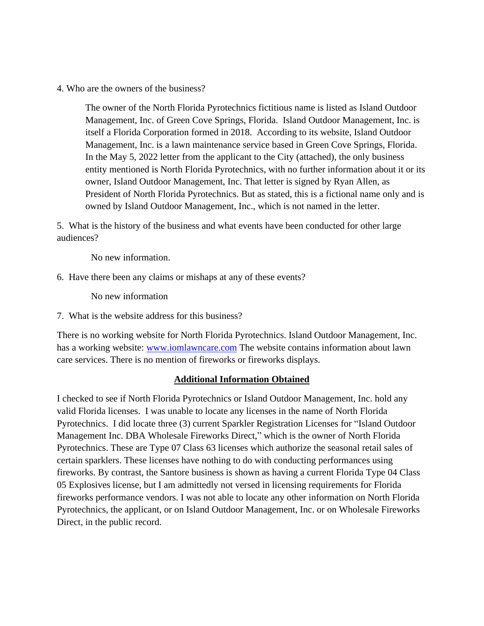4. Who are the owners of the business?

The owner of the North Florida Pyrotechnics fictitious name is listed as Island Outdoor Management, Inc. of Green Cove Springs, Florida. Island Outdoor Management, Inc. is itself a Florida Corporation formed in 2018. According to its website, Island Outdoor Management, Inc. is a lawn maintenance service based in Green Cove Springs, Florida. In the May 5, 2022 letter from the applicant to the City (attached), the only business entity mentioned is North Florida Pyrotechnics, with no further information about it or its owner, Island Outdoor Management, Inc. That letter is signed by Ryan Allen, as President of North Florida Pyrotechnics. But as stated, this is a fictional name only and is owned by Island Outdoor Management, Inc., which is not named in the letter.

5. What is the history of the business and what events have been conducted for other large audiences?

No new information.

6. Have there been any claims or mishaps at any of these events?

No new information

7. What is the website address for this business?

There is no working website for North Florida Pyrotechnics. Island Outdoor Management, Inc. has a working website: [www.iomlawncare.com](http://www.iomlawncare.com/) The website contains information about lawn care services. There is no mention of fireworks or fireworks displays.

## **Additional Information Obtained**

I checked to see if North Florida Pyrotechnics or Island Outdoor Management, Inc. hold any valid Florida licenses. I was unable to locate any licenses in the name of North Florida Pyrotechnics. I did locate three (3) current Sparkler Registration Licenses for "Island Outdoor Management Inc. DBA Wholesale Fireworks Direct," which is the owner of North Florida Pyrotechnics. These are Type 07 Class 63 licenses which authorize the seasonal retail sales of certain sparklers. These licenses have nothing to do with conducting performances using fireworks. By contrast, the Santore business is shown as having a current Florida Type 04 Class 05 Explosives license, but I am admittedly not versed in licensing requirements for Florida fireworks performance vendors. I was not able to locate any other information on North Florida Pyrotechnics, the applicant, or on Island Outdoor Management, Inc. or on Wholesale Fireworks Direct, in the public record.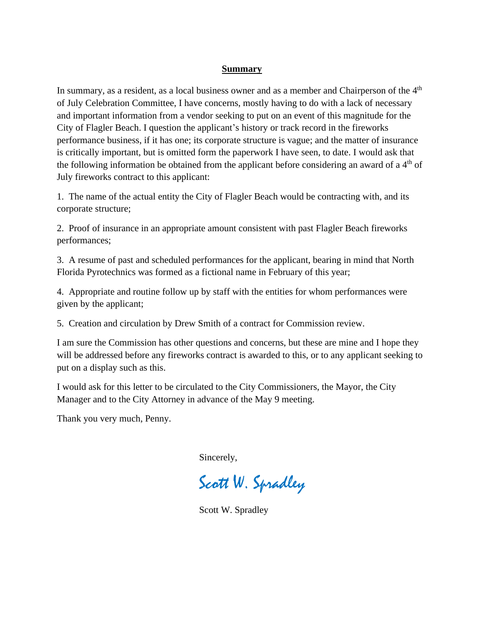#### **Summary**

In summary, as a resident, as a local business owner and as a member and Chairperson of the  $4<sup>th</sup>$ of July Celebration Committee, I have concerns, mostly having to do with a lack of necessary and important information from a vendor seeking to put on an event of this magnitude for the City of Flagler Beach. I question the applicant's history or track record in the fireworks performance business, if it has one; its corporate structure is vague; and the matter of insurance is critically important, but is omitted form the paperwork I have seen, to date. I would ask that the following information be obtained from the applicant before considering an award of a  $4<sup>th</sup>$  of July fireworks contract to this applicant:

1. The name of the actual entity the City of Flagler Beach would be contracting with, and its corporate structure;

2. Proof of insurance in an appropriate amount consistent with past Flagler Beach fireworks performances;

3. A resume of past and scheduled performances for the applicant, bearing in mind that North Florida Pyrotechnics was formed as a fictional name in February of this year;

4. Appropriate and routine follow up by staff with the entities for whom performances were given by the applicant;

5. Creation and circulation by Drew Smith of a contract for Commission review.

I am sure the Commission has other questions and concerns, but these are mine and I hope they will be addressed before any fireworks contract is awarded to this, or to any applicant seeking to put on a display such as this.

I would ask for this letter to be circulated to the City Commissioners, the Mayor, the City Manager and to the City Attorney in advance of the May 9 meeting.

Thank you very much, Penny.

Sincerely,

Scott W. Spradley

Scott W. Spradley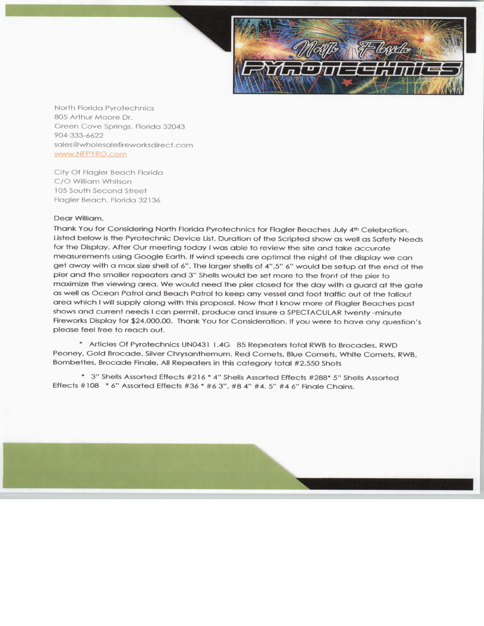

North Florida Pyrotechnics 805 Arthur Moore Dr. Green Cove Springs, Florida 32043 904-333-6622 sales@wholesalefireworksdirect.com WWW. NFPYRO. corn

City Of Flagler Beach Florida C/O William Whitson 105 South Second Street Flagler Beach, Florida 32136

#### Dear William,

Thank You for Considering North Florida Pyrotechnics for Flagler Beaches July 4th Celebration. Listed below is the Pyrotechnic Device List, Duration of the Scripted show as well as Safety Needs for the Display. After Our meeting today <sup>I</sup> was able to review the site and take accurate measurements using Google Earth. If wind speeds are optimal the night of the display we can get away with a max size shell of 6". The larger shells of 4", 5" 6" would be setup at the end of the pier and the smaller repeaters and 3" Shells would be set more to the front of the pier to maximize the viewing area. We would need the pier closed for the day with a guard at the gate as well as Ocean Patrol and Beach Patrol to keep any vessel and foot traffic out of the fallout area which <sup>I</sup> will supply along with this proposal. Now that <sup>I</sup> know more of Flagler Beaches past shows and current needs <sup>I</sup> can permit, produce and insure a SPECTACULAR twenty - minute Fireworks Display for \$24,000.00. Thank You for Consideration. If you were to have any question's please feel free to reach out.

Articles Of Pyrotechnics UN0431 1 . 4G 85 Repeaters total RWB to Brocades, RWD Peoney, Gold Brocade, Silver Chrysanthemum, Red Comets, Blue Comets, White Comets, RWB, Bombettes, Brocade Finale, All Repeaters in this category total #2,550 Shots

\* 3" Shells Assorted Effects #216 \* 4" Shells Assorted Effects #288\* 5" Shells Assorted Effects #108 \* 6" Assorted Effects #36 \* #6 3", #8 4" #4, 5" #4 6" Finale Chains.